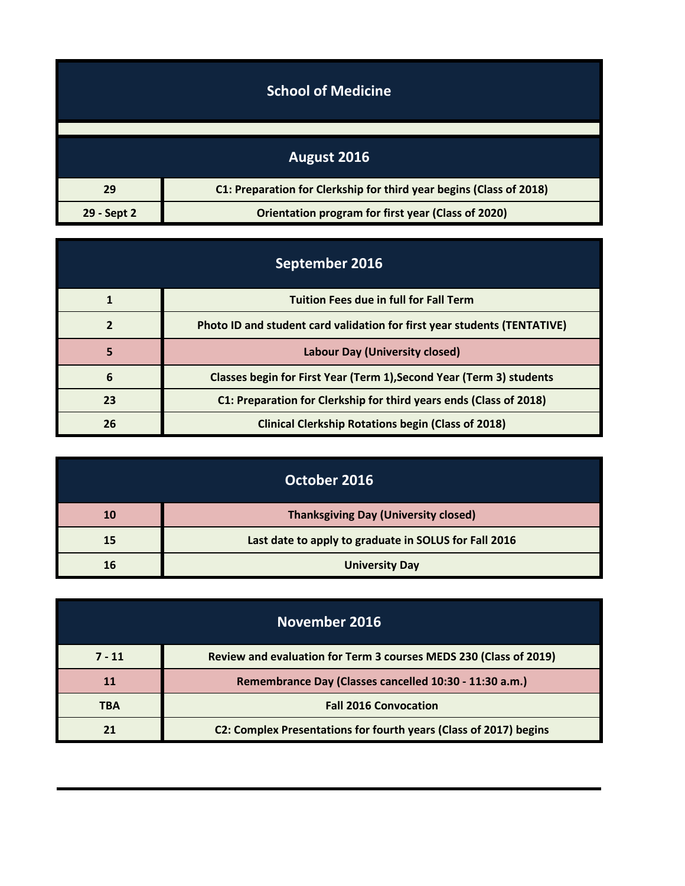| <b>School of Medicine</b> |                                                                     |
|---------------------------|---------------------------------------------------------------------|
|                           |                                                                     |
|                           | August 2016                                                         |
| 29                        | C1: Preparation for Clerkship for third year begins (Class of 2018) |
| 29 - Sept 2               | <b>Orientation program for first year (Class of 2020)</b>           |

| September 2016 |                                                                          |
|----------------|--------------------------------------------------------------------------|
|                | <b>Tuition Fees due in full for Fall Term</b>                            |
| 2              | Photo ID and student card validation for first year students (TENTATIVE) |
| 5              | Labour Day (University closed)                                           |
| 6              | Classes begin for First Year (Term 1), Second Year (Term 3) students     |
| 23             | C1: Preparation for Clerkship for third years ends (Class of 2018)       |
| 26             | <b>Clinical Clerkship Rotations begin (Class of 2018)</b>                |

| October 2016 |                                                       |
|--------------|-------------------------------------------------------|
| 10           | <b>Thanksgiving Day (University closed)</b>           |
| 15           | Last date to apply to graduate in SOLUS for Fall 2016 |
| 16           | <b>University Day</b>                                 |

| November 2016 |                                                                   |
|---------------|-------------------------------------------------------------------|
| $7 - 11$      | Review and evaluation for Term 3 courses MEDS 230 (Class of 2019) |
| 11            | Remembrance Day (Classes cancelled 10:30 - 11:30 a.m.)            |
| <b>TBA</b>    | <b>Fall 2016 Convocation</b>                                      |
|               | C2: Complex Presentations for fourth years (Class of 2017) begins |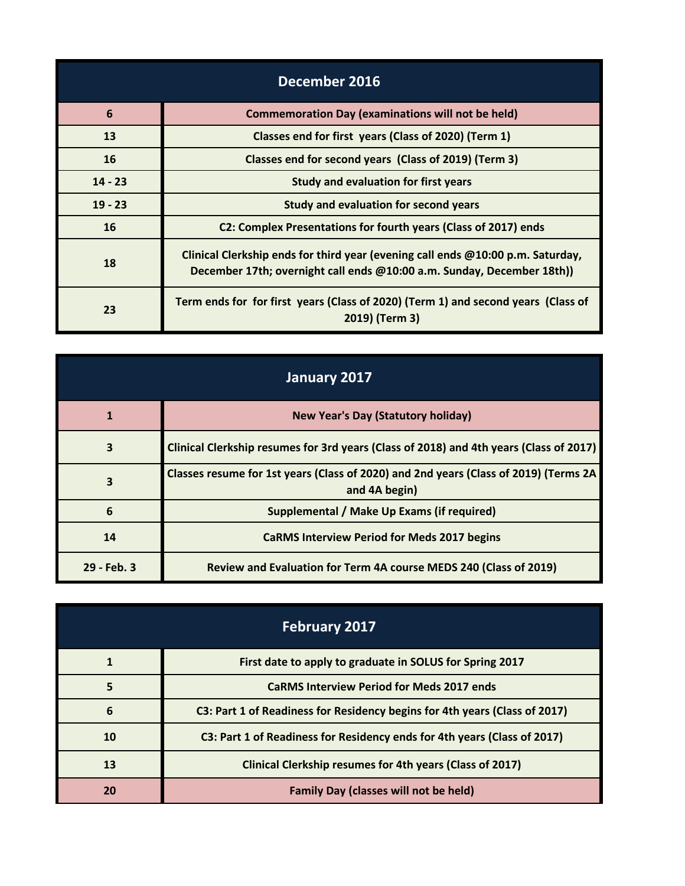| December 2016   |                                                                                                                                                           |
|-----------------|-----------------------------------------------------------------------------------------------------------------------------------------------------------|
| $6\phantom{1}6$ | <b>Commemoration Day (examinations will not be held)</b>                                                                                                  |
| 13              | Classes end for first years (Class of 2020) (Term 1)                                                                                                      |
| 16              | Classes end for second years (Class of 2019) (Term 3)                                                                                                     |
| $14 - 23$       | <b>Study and evaluation for first years</b>                                                                                                               |
| $19 - 23$       | <b>Study and evaluation for second years</b>                                                                                                              |
| 16              | C2: Complex Presentations for fourth years (Class of 2017) ends                                                                                           |
| 18              | Clinical Clerkship ends for third year (evening call ends @10:00 p.m. Saturday,<br>December 17th; overnight call ends @10:00 a.m. Sunday, December 18th)) |
| 23              | Term ends for for first years (Class of 2020) (Term 1) and second years (Class of<br>2019) (Term 3)                                                       |

| January 2017            |                                                                                                       |
|-------------------------|-------------------------------------------------------------------------------------------------------|
| 1                       | <b>New Year's Day (Statutory holiday)</b>                                                             |
| 3                       | Clinical Clerkship resumes for 3rd years (Class of 2018) and 4th years (Class of 2017)                |
| $\overline{\mathbf{3}}$ | Classes resume for 1st years (Class of 2020) and 2nd years (Class of 2019) (Terms 2A<br>and 4A begin) |
| 6                       | Supplemental / Make Up Exams (if required)                                                            |
| 14                      | <b>CaRMS Interview Period for Meds 2017 begins</b>                                                    |
| 29 - Feb. 3             | Review and Evaluation for Term 4A course MEDS 240 (Class of 2019)                                     |

| <b>February 2017</b> |                                                                            |
|----------------------|----------------------------------------------------------------------------|
|                      | First date to apply to graduate in SOLUS for Spring 2017                   |
| 5                    | <b>CaRMS Interview Period for Meds 2017 ends</b>                           |
| 6                    | C3: Part 1 of Readiness for Residency begins for 4th years (Class of 2017) |
| 10                   | C3: Part 1 of Readiness for Residency ends for 4th years (Class of 2017)   |
| 13                   | Clinical Clerkship resumes for 4th years (Class of 2017)                   |
| 20                   | <b>Family Day (classes will not be held)</b>                               |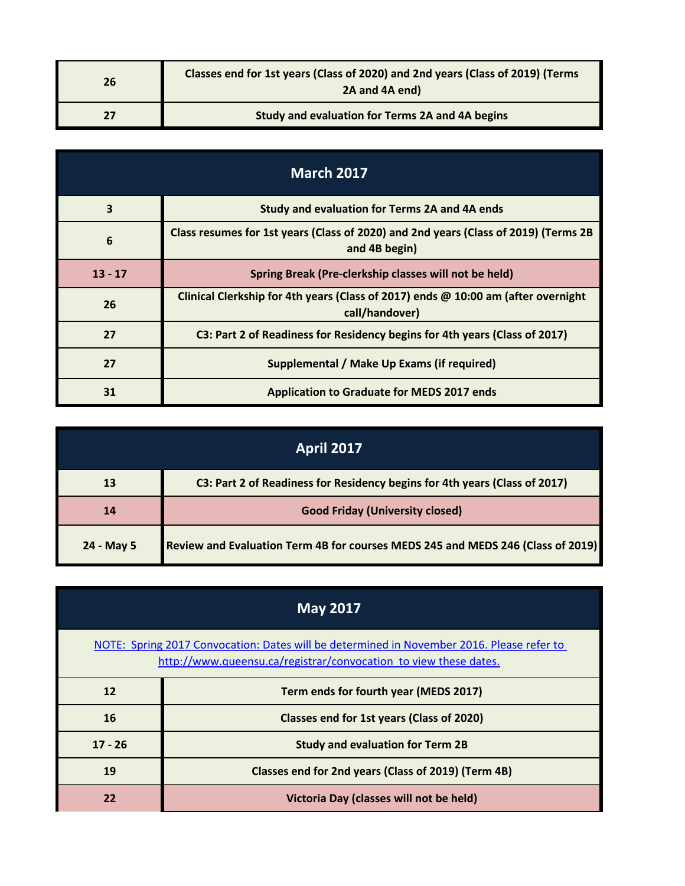| 26 | Classes end for 1st years (Class of 2020) and 2nd years (Class of 2019) (Terms<br>2A and 4A end) |
|----|--------------------------------------------------------------------------------------------------|
|    | Study and evaluation for Terms 2A and 4A begins                                                  |

| <b>March 2017</b>       |                                                                                                      |
|-------------------------|------------------------------------------------------------------------------------------------------|
| $\overline{\mathbf{3}}$ | Study and evaluation for Terms 2A and 4A ends                                                        |
| 6                       | Class resumes for 1st years (Class of 2020) and 2nd years (Class of 2019) (Terms 2B<br>and 4B begin) |
| $13 - 17$               | Spring Break (Pre-clerkship classes will not be held)                                                |
| 26                      | Clinical Clerkship for 4th years (Class of 2017) ends @ 10:00 am (after overnight<br>call/handover)  |
| 27                      | C3: Part 2 of Readiness for Residency begins for 4th years (Class of 2017)                           |
| 27                      | Supplemental / Make Up Exams (if required)                                                           |
| 31                      | Application to Graduate for MEDS 2017 ends                                                           |

| <b>April 2017</b> |                                                                                 |
|-------------------|---------------------------------------------------------------------------------|
| 13                | C3: Part 2 of Readiness for Residency begins for 4th years (Class of 2017)      |
| 14                | <b>Good Friday (University closed)</b>                                          |
| 24 - May 5        | Review and Evaluation Term 4B for courses MEDS 245 and MEDS 246 (Class of 2019) |

| <b>May 2017</b>                                                                                                                                               |                                                     |
|---------------------------------------------------------------------------------------------------------------------------------------------------------------|-----------------------------------------------------|
| NOTE: Spring 2017 Convocation: Dates will be determined in November 2016. Please refer to<br>http://www.queensu.ca/registrar/convocation to view these dates. |                                                     |
| 12                                                                                                                                                            | Term ends for fourth year (MEDS 2017)               |
| 16                                                                                                                                                            | Classes end for 1st years (Class of 2020)           |
| $17 - 26$                                                                                                                                                     | <b>Study and evaluation for Term 2B</b>             |
| 19                                                                                                                                                            | Classes end for 2nd years (Class of 2019) (Term 4B) |
| 22                                                                                                                                                            | Victoria Day (classes will not be held)             |